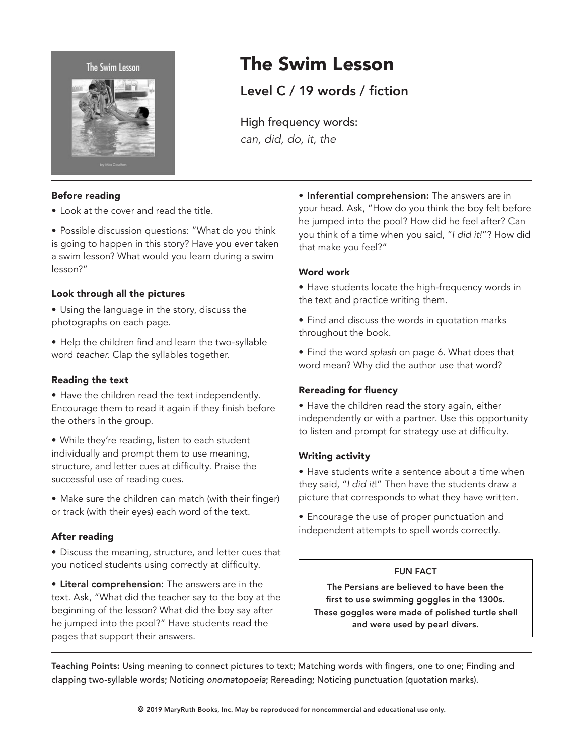



### Before reading

- Look at the cover and read the title.
- Possible discussion questions: "What do you think is going to happen in this story? Have you ever taken a swim lesson? What would you learn during a swim lesson?"

# Look through all the pictures

- Using the language in the story, discuss the photographs on each page.
- Help the children find and learn the two-syllable word *teacher*. Clap the syllables together.

### Reading the text

- Have the children read the text independently. Encourage them to read it again if they finish before the others in the group.
- • While they're reading, listen to each student individually and prompt them to use meaning, structure, and letter cues at difficulty. Praise the successful use of reading cues.
- Make sure the children can match (with their finger) or track (with their eyes) each word of the text.

# After reading

- Discuss the meaning, structure, and letter cues that you noticed students using correctly at difficulty.
- Literal comprehension: The answers are in the text. Ask, "What did the teacher say to the boy at the beginning of the lesson? What did the boy say after he jumped into the pool?" Have students read the pages that support their answers.

# • Inferential comprehension: The answers are in your head. Ask, "How do you think the boy felt before he jumped into the pool? How did he feel after? Can you think of a time when you said, "*I did it!*"? How did that make you feel?"

### Word work

The Swim Lesson

High frequency words:

*can, did, do, it, the*

Level C / 19 words / fiction

- Have students locate the high-frequency words in the text and practice writing them.
- Find and discuss the words in quotation marks throughout the book.
- • Find the word *splash* on page 6. What does that word mean? Why did the author use that word?

# Rereading for fluency

• Have the children read the story again, either independently or with a partner. Use this opportunity to listen and prompt for strategy use at difficulty.

### Writing activity

- Have students write a sentence about a time when they said, "*I did it*!" Then have the students draw a picture that corresponds to what they have written.
- Encourage the use of proper punctuation and independent attempts to spell words correctly.

### FUN FACT

The Persians are believed to have been the first to use swimming goggles in the 1300s. These goggles were made of polished turtle shell and were used by pearl divers.

Teaching Points: Using meaning to connect pictures to text; Matching words with fingers, one to one; Finding and clapping two-syllable words; Noticing *onomatopoeia*; Rereading; Noticing punctuation (quotation marks).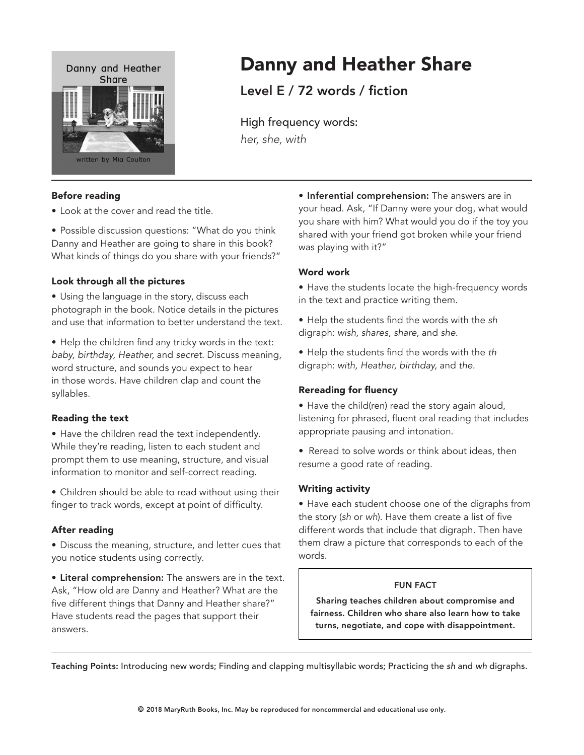

### Before reading

- Look at the cover and read the title.
- Possible discussion questions: "What do you think Danny and Heather are going to share in this book? What kinds of things do you share with your friends?"

#### Look through all the pictures

- Using the language in the story, discuss each photograph in the book. Notice details in the pictures and use that information to better understand the text.
- Help the children find any tricky words in the text: *baby, birthday, Heather,* and *secret.* Discuss meaning, word structure, and sounds you expect to hear in those words*.* Have children clap and count the syllables.

#### Reading the text

- Have the children read the text independently. While they're reading, listen to each student and prompt them to use meaning, structure, and visual information to monitor and self-correct reading.
- Children should be able to read without using their finger to track words, except at point of difficulty.

### After reading

• Discuss the meaning, structure, and letter cues that you notice students using correctly.

• Literal comprehension: The answers are in the text. Ask, "How old are Danny and Heather? What are the five different things that Danny and Heather share?" Have students read the pages that support their answers.

# • Inferential comprehension: The answers are in your head. Ask, "If Danny were your dog, what would you share with him? What would you do if the toy you shared with your friend got broken while your friend was playing with it?"

### Word work

Danny and Heather Share

Level E / 72 words / fiction

High frequency words:

*her, she, with*

- Have the students locate the high-frequency words in the text and practice writing them.
- • Help the students find the words with the *sh* digraph: *wish, shares, share,* and *she.*
- • Help the students find the words with the *th* digraph: *with, Heather, birthday,* and *the.*

### Rereading for fluency

- Have the child(ren) read the story again aloud, listening for phrased, fluent oral reading that includes appropriate pausing and intonation.
- Reread to solve words or think about ideas, then resume a good rate of reading.

#### Writing activity

• Have each student choose one of the digraphs from the story (*sh* or *wh*). Have them create a list of five different words that include that digraph. Then have them draw a picture that corresponds to each of the words.

#### FUN FACT

Sharing teaches children about compromise and fairness. Children who share also learn how to take turns, negotiate, and cope with disappointment.

Teaching Points: Introducing new words; Finding and clapping multisyllabic words; Practicing the *sh* and *wh* digraphs.